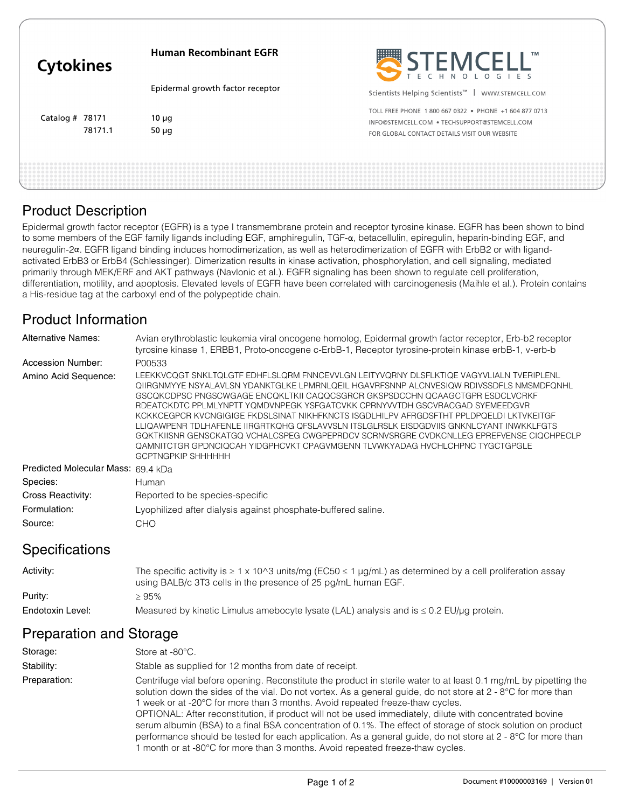| <b>Cytokines</b>  |         | <b>Human Recombinant EGFR</b>    | STEMCELL"                                                                                                                                             |
|-------------------|---------|----------------------------------|-------------------------------------------------------------------------------------------------------------------------------------------------------|
|                   |         | Epidermal growth factor receptor | Scientists Helping Scientists <sup>™</sup>  <br>WWW.STEMCELL.COM                                                                                      |
| Catalog $#$ 78171 | 78171.1 | $10 \mu q$<br>50 $\mu$ g         | TOLL FREE PHONE 1800 667 0322 . PHONE +1 604 877 0713<br>INFO@STEMCELL.COM • TECHSUPPORT@STEMCELL.COM<br>FOR GLOBAL CONTACT DETAILS VISIT OUR WEBSITE |
|                   |         |                                  |                                                                                                                                                       |

#### Product Description

Epidermal growth factor receptor (EGFR) is a type I transmembrane protein and receptor tyrosine kinase. EGFR has been shown to bind to some members of the EGF family ligands including EGF, amphiregulin, TGF-α, betacellulin, epiregulin, heparin-binding EGF, and neuregulin-2α. EGFR ligand binding induces homodimerization, as well as heterodimerization of EGFR with ErbB2 or with ligandactivated ErbB3 or ErbB4 (Schlessinger). Dimerization results in kinase activation, phosphorylation, and cell signaling, mediated primarily through MEK/ERF and AKT pathways (Navlonic et al.). EGFR signaling has been shown to regulate cell proliferation, differentiation, motility, and apoptosis. Elevated levels of EGFR have been correlated with carcinogenesis (Maihle et al.). Protein contains a His-residue tag at the carboxyl end of the polypeptide chain.

## Product Information

| <b>Alternative Names:</b>          | Avian erythroblastic leukemia viral oncogene homolog, Epidermal growth factor receptor, Erb-b2 receptor<br>tyrosine kinase 1, ERBB1, Proto-oncogene c-ErbB-1, Receptor tyrosine-protein kinase erbB-1, v-erb-b                                                                                                                                                                                                                                                                                                                                                                                                                                                                                                                                   |  |
|------------------------------------|--------------------------------------------------------------------------------------------------------------------------------------------------------------------------------------------------------------------------------------------------------------------------------------------------------------------------------------------------------------------------------------------------------------------------------------------------------------------------------------------------------------------------------------------------------------------------------------------------------------------------------------------------------------------------------------------------------------------------------------------------|--|
| Accession Number:                  | P00533                                                                                                                                                                                                                                                                                                                                                                                                                                                                                                                                                                                                                                                                                                                                           |  |
| Amino Acid Sequence:               | LEEKKVCOGT SNKLTOLGTF EDHFLSLORM FNNCEVVLGN LEITYVORNY DLSFLKTIOE VAGYVLIALN TVERIPLENL<br>OIIRGNMYYE NSYALAVLSN YDANKTGLKE LPMRNLOEIL HGAVRFSNNP ALCNVESIOW RDIVSSDFLS NMSMDFONHL<br>GSCQKCDPSC PNGSCWGAGE ENCQKLTKII CAQQCSGRCR GKSPSDCCHN QCAAGCTGPR ESDCLVCRKF<br>RDEATCKDTC PPLMLYNPTT YQMDVNPEGK YSFGATCVKK CPRNYVVTDH GSCVRACGAD SYEMEEDGVR<br>KCKKCEGPCR KVCNGIGIGE FKDSLSINAT NIKHFKNCTS ISGDLHILPV AFRGDSFTHT PPLDPOELDI LKTVKEITGF<br>LLIQAWPENR TDLHAFENLE IIRGRTKOHG OFSLAVVSLN ITSLGLRSLK EISDGDVIIS GNKNLCYANT INWKKLFGTS<br>GOKTKIISNR GENSCKATGO VCHALCSPEG CWGPEPRDCV SCRNVSRGRE CVDKCNLLEG EPREFVENSE CIOCHPECLP<br>QAMNITCTGR GPDNCIQCAH YIDGPHCVKT CPAGVMGENN TLVWKYADAG HVCHLCHPNC TYGCTGPGLE<br><b>GCPTNGPKIP SHHHHHH</b> |  |
| Predicted Molecular Mass: 69.4 kDa |                                                                                                                                                                                                                                                                                                                                                                                                                                                                                                                                                                                                                                                                                                                                                  |  |
| Species:                           | Human                                                                                                                                                                                                                                                                                                                                                                                                                                                                                                                                                                                                                                                                                                                                            |  |
| Cross Reactivity:                  | Reported to be species-specific                                                                                                                                                                                                                                                                                                                                                                                                                                                                                                                                                                                                                                                                                                                  |  |
| Formulation:                       | Lyophilized after dialysis against phosphate-buffered saline.                                                                                                                                                                                                                                                                                                                                                                                                                                                                                                                                                                                                                                                                                    |  |
| Source:                            | CHO                                                                                                                                                                                                                                                                                                                                                                                                                                                                                                                                                                                                                                                                                                                                              |  |

#### **Specifications**

| Activity:        | The specific activity is $\geq 1 \times 10^{10}$ units/mg (EC50 $\leq 1$ µg/mL) as determined by a cell proliferation assay<br>using BALB/c 3T3 cells in the presence of 25 pg/mL human EGF. |
|------------------|----------------------------------------------------------------------------------------------------------------------------------------------------------------------------------------------|
| Purity:          | ≥ 95%                                                                                                                                                                                        |
| Endotoxin Level: | Measured by kinetic Limulus amebocyte lysate (LAL) analysis and is $\leq 0.2$ EU/ $\mu$ g protein.                                                                                           |

## Preparation and Storage

| Storage:     | Store at -80°C.                                                                                                                                                                                                                                                                                                                                                                                                                                                                                                                                                                                                                                                                                                                                |
|--------------|------------------------------------------------------------------------------------------------------------------------------------------------------------------------------------------------------------------------------------------------------------------------------------------------------------------------------------------------------------------------------------------------------------------------------------------------------------------------------------------------------------------------------------------------------------------------------------------------------------------------------------------------------------------------------------------------------------------------------------------------|
| Stability:   | Stable as supplied for 12 months from date of receipt.                                                                                                                                                                                                                                                                                                                                                                                                                                                                                                                                                                                                                                                                                         |
| Preparation: | Centrifuge vial before opening. Reconstitute the product in sterile water to at least 0.1 mg/mL by pipetting the<br>solution down the sides of the vial. Do not vortex. As a general guide, do not store at 2 - 8°C for more than<br>l week or at -20°C for more than 3 months. Avoid repeated freeze-thaw cycles.<br>OPTIONAL: After reconstitution, if product will not be used immediately, dilute with concentrated bovine<br>serum albumin (BSA) to a final BSA concentration of 0.1%. The effect of storage of stock solution on product<br>performance should be tested for each application. As a general guide, do not store at 2 - 8°C for more than<br>month or at -80°C for more than 3 months. Avoid repeated freeze-thaw cycles. |